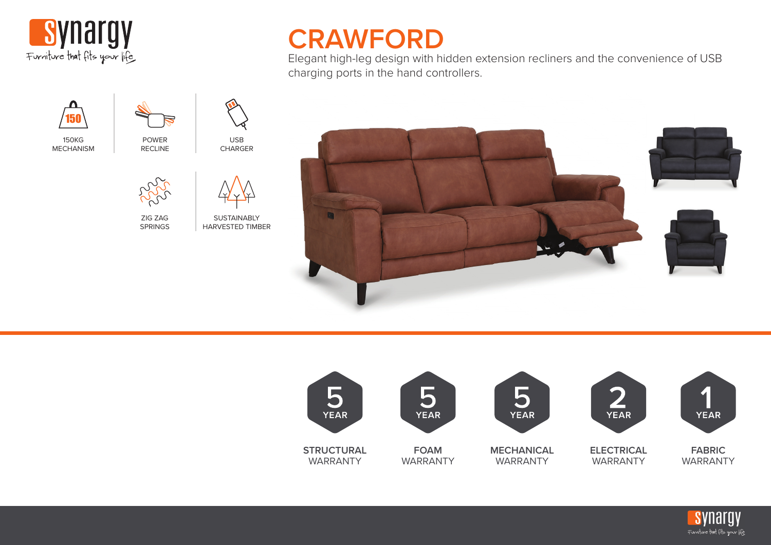





150KG MECHANISM



ZIG ZAG SPRINGS

POWER RECLINE

USB CHARGER



**SUSTAINABLY** HARVESTED TIMBER

## **CRAWFORD**

Elegant high-leg design with hidden extension recliners and the convenience of USB charging ports in the hand controllers.





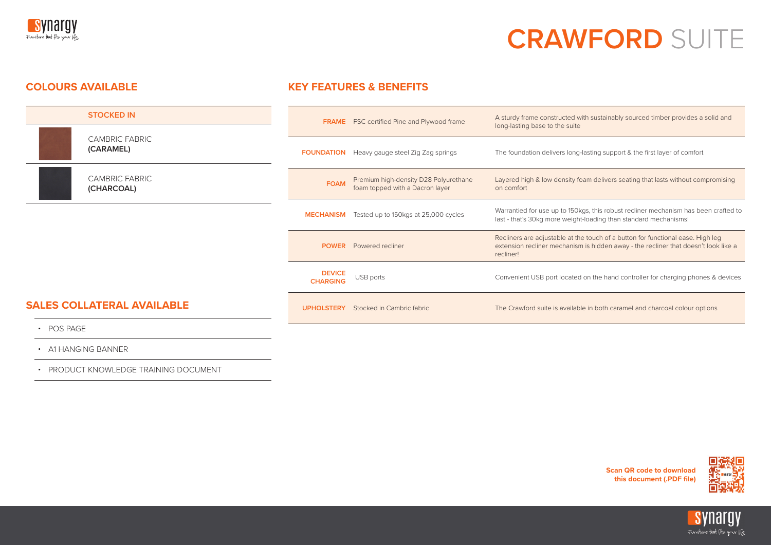

# **CRAWFORD** SUITE

#### **COLOURS AVAILABLE KEY FEATURES & BENEFITS**



- 
- A1 HANGING BANNER
- PRODUCT KNOWLEDGE TRAINING DOCUMENT